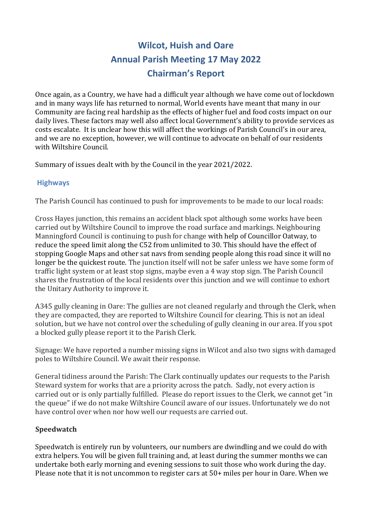# **Wilcot, Huish and Oare Annual Parish Meeting 17 May 2022 Chairman's Report**

Once again, as a Country, we have had a difficult year although we have come out of lockdown and in many ways life has returned to normal, World events have meant that many in our Community are facing real hardship as the effects of higher fuel and food costs impact on our daily lives. These factors may well also affect local Government's ability to provide services as costs escalate. It is unclear how this will affect the workings of Parish Council's in our area, and we are no exception, however, we will continue to advocate on behalf of our residents with Wiltshire Council.

Summary of issues dealt with by the Council in the year 2021/2022.

# **Highways**

The Parish Council has continued to push for improvements to be made to our local roads:

Cross Hayes junction, this remains an accident black spot although some works have been carried out by Wiltshire Council to improve the road surface and markings. Neighbouring Manningford Council is continuing to push for change with help of Councillor Oatway, to reduce the speed limit along the C52 from unlimited to 30. This should have the effect of stopping Google Maps and other sat navs from sending people along this road since it will no longer be the quickest route. The junction itself will not be safer unless we have some form of traffic light system or at least stop signs, maybe even a 4 way stop sign. The Parish Council shares the frustration of the local residents over this junction and we will continue to exhort the Unitary Authority to improve it.

A345 gully cleaning in Oare: The gullies are not cleaned regularly and through the Clerk, when they are compacted, they are reported to Wiltshire Council for clearing. This is not an ideal solution, but we have not control over the scheduling of gully cleaning in our area. If you spot a blocked gully please report it to the Parish Clerk.

Signage: We have reported a number missing signs in Wilcot and also two signs with damaged poles to Wiltshire Council. We await their response.

General tidiness around the Parish: The Clark continually updates our requests to the Parish Steward system for works that are a priority across the patch. Sadly, not every action is carried out or is only partially fulfilled. Please do report issues to the Clerk, we cannot get "in the queue" if we do not make Wiltshire Council aware of our issues. Unfortunately we do not have control over when nor how well our requests are carried out.

# **Speedwatch**

Speedwatch is entirely run by volunteers, our numbers are dwindling and we could do with extra helpers. You will be given full training and, at least during the summer months we can undertake both early morning and evening sessions to suit those who work during the day. Please note that it is not uncommon to register cars at 50+ miles per hour in Oare. When we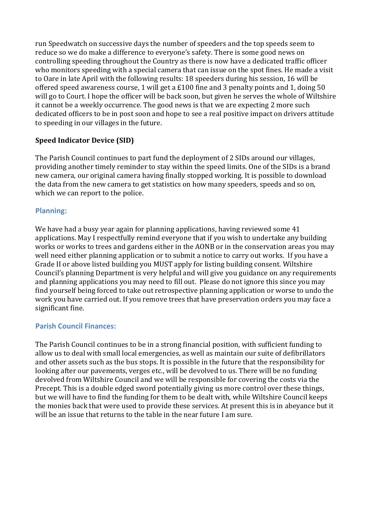run Speedwatch on successive days the number of speeders and the top speeds seem to reduce so we do make a difference to everyone's safety. There is some good news on controlling speeding throughout the Country as there is now have a dedicated traffic officer who monitors speeding with a special camera that can issue on the spot fines. He made a visit to Oare in late April with the following results: 18 speeders during his session, 16 will be offered speed awareness course, 1 will get a £100 fine and 3 penalty points and 1, doing 50 will go to Court. I hope the officer will be back soon, but given he serves the whole of Wiltshire it cannot be a weekly occurrence. The good news is that we are expecting 2 more such dedicated officers to be in post soon and hope to see a real positive impact on drivers attitude to speeding in our villages in the future.

# **Speed Indicator Device (SID)**

The Parish Council continues to part fund the deployment of 2 SIDs around our villages, providing another timely reminder to stay within the speed limits. One of the SIDs is a brand new camera, our original camera having finally stopped working. It is possible to download the data from the new camera to get statistics on how many speeders, speeds and so on, which we can report to the police.

## **Planning:**

We have had a busy year again for planning applications, having reviewed some 41 applications. May I respectfully remind everyone that if you wish to undertake any building works or works to trees and gardens either in the AONB or in the conservation areas you may well need either planning application or to submit a notice to carry out works. If you have a Grade II or above listed building you MUST apply for listing building consent. Wiltshire Council's planning Department is very helpful and will give you guidance on any requirements and planning applications you may need to fill out. Please do not ignore this since you may find yourself being forced to take out retrospective planning application or worse to undo the work you have carried out. If you remove trees that have preservation orders you may face a significant fine.

## **Parish Council Finances:**

The Parish Council continues to be in a strong financial position, with sufficient funding to allow us to deal with small local emergencies, as well as maintain our suite of defibrillators and other assets such as the bus stops. It is possible in the future that the responsibility for looking after our pavements, verges etc., will be devolved to us. There will be no funding devolved from Wiltshire Council and we will be responsible for covering the costs via the Precept. This is a double edged sword potentially giving us more control over these things, but we will have to find the funding for them to be dealt with, while Wiltshire Council keeps the monies back that were used to provide these services. At present this is in abeyance but it will be an issue that returns to the table in the near future I am sure.